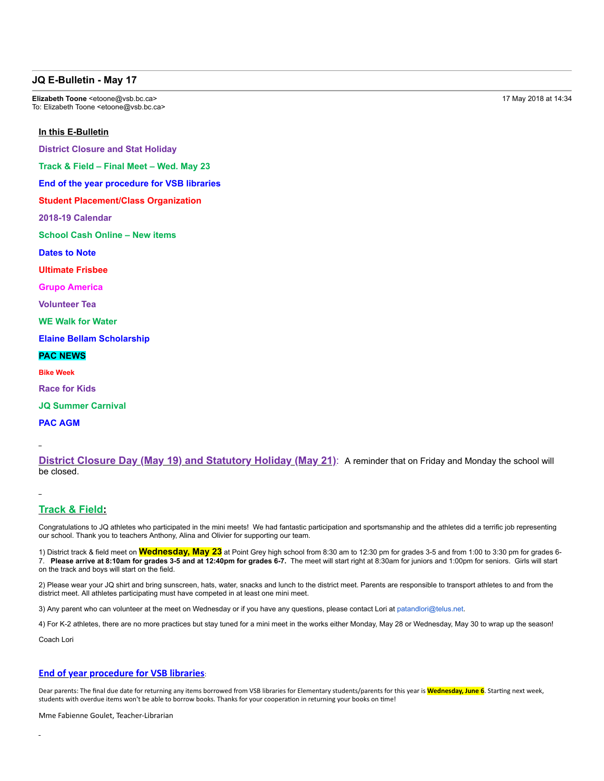### **JQ E-Bulletin - May 17**

**Elizabeth Toone <etoone@vsb.bc.ca>** 17 May 2018 at 14:34 To: Elizabeth Toone <etoone@vsb.bc.ca>

#### **In this E-Bulletin**

**District Closure and Stat Holiday**

**Track & Field – Final Meet – Wed. May 23**

**End of the year procedure for VSB libraries**

**Student Placement/Class Organization**

**201819 Calendar**

**School Cash Online – New items**

**Dates to Note**

**Ultimate Frisbee**

**Grupo America**

**Volunteer Tea**

**WE Walk for Water**

**Elaine Bellam Scholarship**

#### **PAC NEWS**

**Bike Week**

- **Race for Kids**
- **JQ Summer Carnival**

**PAC AGM**

**District Closure Day (May 19) and Statutory Holiday (May 21)**: A reminder that on Friday and Monday the school will be closed.

# **Track & Field:**

Congratulations to JQ athletes who participated in the mini meets! We had fantastic participation and sportsmanship and the athletes did a terrific job representing our school. Thank you to teachers Anthony, Alina and Olivier for supporting our team.

1) District track & field meet on **Wednesday, May 23** at Point Grey high school from 8:30 am to 12:30 pm for grades 35 and from 1:00 to 3:30 pm for grades 6 7. **Please arrive at 8:10am for grades 35 and at 12:40pm for grades 67.** The meet will start right at 8:30am for juniors and 1:00pm for seniors. Girls will start on the track and boys will start on the field.

2) Please wear your JQ shirt and bring sunscreen, hats, water, snacks and lunch to the district meet. Parents are responsible to transport athletes to and from the district meet. All athletes participating must have competed in at least one mini meet.

3) Any parent who can volunteer at the meet on Wednesday or if you have any questions, please contact Lori at patandlori@telus.net.

4) For K-2 athletes, there are no more practices but stay tuned for a mini meet in the works either Monday, May 28 or Wednesday, May 30 to wrap up the season!

Coach Lori

## **End of year procedure for VSB libraries**:

Dear parents: The final due date for returning any items borrowed from VSB libraries for Elementary students/parents for this year is **Wednesday, June 6**. Starting next week, students with overdue items won't be able to borrow books. Thanks for your cooperation in returning your books on time!

Mme Fabienne Goulet, Teacher‑Librarian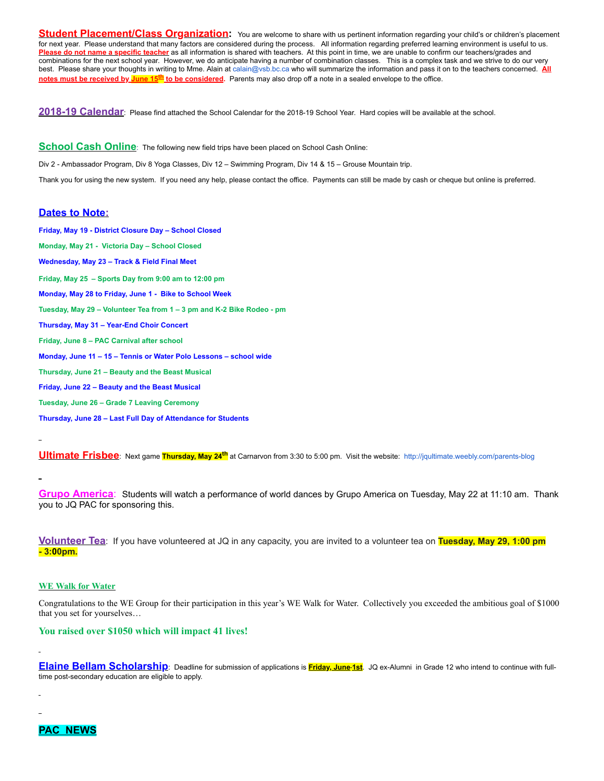**Student Placement/Class Organization:** You are welcome to share with us pertinent information regarding your child's or children's placement for next year. Please understand that many factors are considered during the process. All information regarding preferred learning environment is useful to us. Please do not name a specific teacher as all information is shared with teachers. At this point in time, we are unable to confirm our teachers/grades and combinations for the next school year. However, we do anticipate having a number of combination classes. This is a complex task and we strive to do our very best. Please share your thoughts in writing to Mme. Alain at calain@vsb.bc.ca who will summarize the information and pass it on to the teachers concerned. **All notes must be received by June 15<sup>th</sup>** to be considered. Parents may also drop off a note in a sealed envelope to the office.

2018-19 Calendar: Please find attached the School Calendar for the 2018-19 School Year. Hard copies will be available at the school.

**School Cash Online**: The following new field trips have been placed on School Cash Online:

Div 2 Ambassador Program, Div 8 Yoga Classes, Div 12 – Swimming Program, Div 14 & 15 – Grouse Mountain trip.

Thank you for using the new system. If you need any help, please contact the office. Payments can still be made by cash or cheque but online is preferred.

### **Dates to Note:**

**Friday, May 19 - District Closure Day - School Closed Monday, May 21 Victoria Day – School Closed Wednesday, May 23 – Track & Field Final Meet Friday, May 25 – Sports Day from 9:00 am to 12:00 pm Monday, May 28 to Friday, June 1 Bike to School Week** Tuesday, May 29 - Volunteer Tea from 1 - 3 pm and K-2 Bike Rodeo - pm **Thursday, May 31 - Year-End Choir Concert Friday, June 8 – PAC Carnival after school Monday, June 11 – 15 – Tennis or Water Polo Lessons – school wide Thursday, June 21 – Beauty and the Beast Musical Friday, June 22 – Beauty and the Beast Musical Tuesday, June 26 – Grade 7 Leaving Ceremony Thursday, June 28 – Last Full Day of Attendance for Students**

**Ultimate Frisbee**: Next game **Thursday, May 24<sup>th</sup>** at Carnarvon from 3:30 to 5:00 pm. Visit the website: http://jqultimate.weebly.com/parents-blog

**Grupo America**: Students will watch a performance of world dances by Grupo America on Tuesday, May 22 at 11:10 am. Thank you to JQ PAC for sponsoring this.

**Volunteer Tea**: If you have volunteered at JQ in any capacity, you are invited to a volunteer tea on **Tuesday, May 29, 1:00 pm 3:00pm.**

### **WE Walk for Water**

Congratulations to the WE Group for their participation in this year's WE Walk for Water. Collectively you exceeded the ambitious goal of \$1000 that you set for yourselves…

#### **You raised over \$1050 which will impact 41 lives!**

**Elaine Bellam Scholarship**: Deadline for submission of applications is **Friday, June 1st**. JQ exAlumni in Grade 12 who intend to continue with fulltime post-secondary education are eligible to apply.

**PAC NEWS**